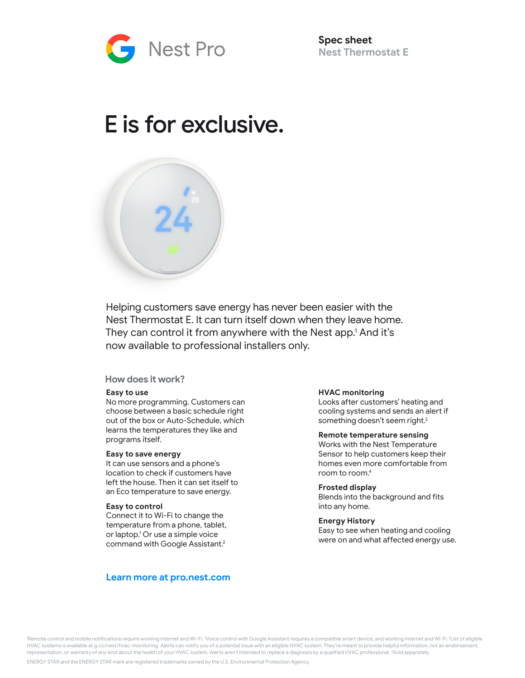

**Spec sheet Nest Thermostat E** 

# E is for exclusive.



Helping customers save energy has never been easier with the Nest Thermostat E. It can turn itself down when they leave home. They can control it from anywhere with the Nest app.1 And it's now available to professional installers only.

# **How does it work?**

## **Easy to use**

No more programming. Customers can choose between a basic schedule right out of the box or Auto-Schedule, which learns the temperatures they like and programs itself.

#### **Easy to save energy**

It can use sensors and a phone's location to check if customers have left the house. Then it can set itself to an Eco temperature to save energy.

#### **Easy to control**

Connect it to Wi-Fi to change the temperature from a phone, tablet, or laptop. 1 Or use a simple voice command with Google Assistant. 2

# **Learn more at pro.nest.com**

#### **HVAC monitoring**

Looks after customers' heating and cooling systems and sends an alert if something doesn't seem right.<sup>3</sup>

#### **Remote temperature sensing**

Works with the Nest Temperature Sensor to help customers keep their homes even more comfortable from room to room. 4

#### **Frosted display**

Blends into the background and fits into any home.

#### **Energy History**

Easy to see when heating and cooling were on and what affected energy use.

'Remote control and mobile notifications require working internet and Wi-Fi. <sup>2</sup>Voice control with Google Assistant requires a compatible smart device, and working Internet and Wi-Fi. <sup>3</sup>List of eligible HVAC systems is available at g.co/nest/hvac-monitoring. Alerts can notify you of a potential issue with an eligible HVAC system. They're meant to provide helpful information, not an endorsement, representation, or warranty of any kind about the health of your HVAC system. Alerts aren't intended to replace a diagnosis by a qualified HVAC professional. <sup>4</sup>Sold separately.